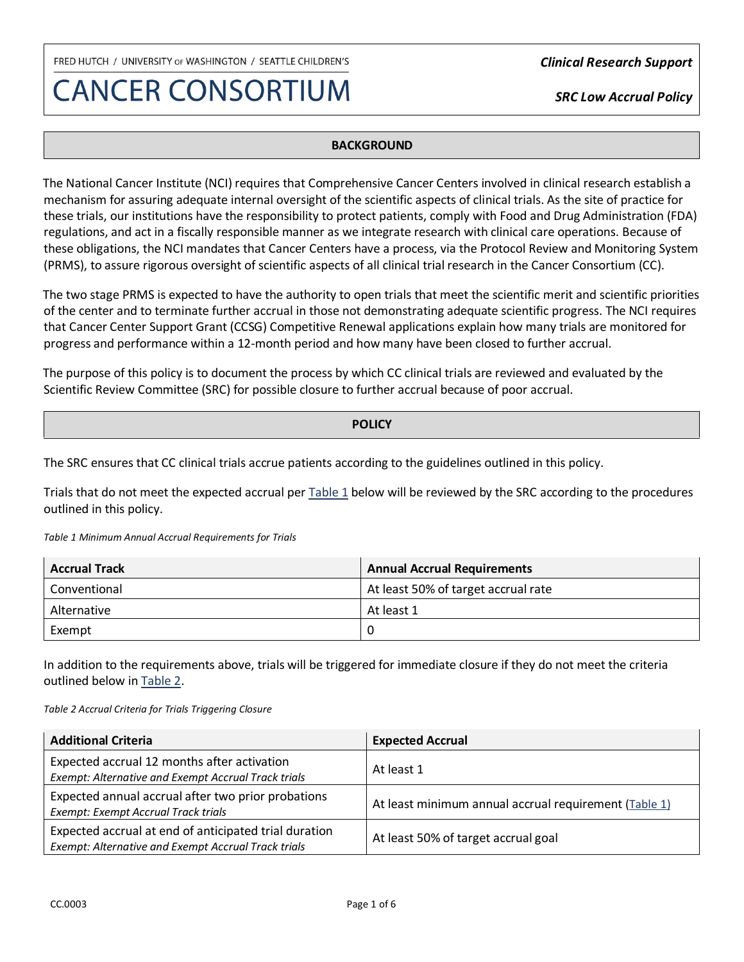## **CANCER CONSORTIUM**

*Clinical Research Support*

*SRC Low Accrual Policy* 

### **BACKGROUND**

The National Cancer Institute (NCI) requires that Comprehensive Cancer Centers involved in clinical research establish a mechanism for assuring adequate internal oversight of the scientific aspects of clinical trials. As the site of practice for these trials, our institutions have the responsibility to protect patients, comply with Food and Drug Administration (FDA) regulations, and act in a fiscally responsible manner as we integrate research with clinical care operations. Because of these obligations, the NCI mandates that Cancer Centers have a process, via the Protocol Review and Monitoring System (PRMS), to assure rigorous oversight of scientific aspects of all clinical trial research in the Cancer Consortium (CC).

The two stage PRMS is expected to have the authority to open trials that meet the scientific merit and scientific priorities of the center and to terminate further accrual in those not demonstrating adequate scientific progress. The NCI requires that Cancer Center Support Grant (CCSG) Competitive Renewal applications explain how many trials are monitored for progress and performance within a 12-month period and how many have been closed to further accrual.

The purpose of this policy is to document the process by which CC clinical trials are reviewed and evaluated by the Scientific Review Committee (SRC) for possible closure to further accrual because of poor accrual.

#### **POLICY**

The SRC ensures that CC clinical trials accrue patients according to the guidelines outlined in this policy.

Trials that do not meet the expected accrual per [Table 1](#page-0-0) below will be reviewed by the SRC according to the procedures outlined in this policy.

<span id="page-0-0"></span>*Table 1 Minimum Annual Accrual Requirements for Trials*

| <b>Accrual Track</b> | <b>Annual Accrual Requirements</b>  |  |
|----------------------|-------------------------------------|--|
| Conventional         | At least 50% of target accrual rate |  |
| Alternative          | At least 1                          |  |
| Exempt               |                                     |  |

In addition to the requirements above, trials will be triggered for immediate closure if they do not meet the criteria outlined below in [Table 2.](#page-0-1)

<span id="page-0-1"></span>*Table 2 Accrual Criteria for Trials Triggering Closure*

| <b>Additional Criteria</b>                                                                                   | <b>Expected Accrual</b>                               |
|--------------------------------------------------------------------------------------------------------------|-------------------------------------------------------|
| Expected accrual 12 months after activation<br>Exempt: Alternative and Exempt Accrual Track trials           | At least 1                                            |
| Expected annual accrual after two prior probations<br><b>Exempt: Exempt Accrual Track trials</b>             | At least minimum annual accrual requirement (Table 1) |
| Expected accrual at end of anticipated trial duration<br>Exempt: Alternative and Exempt Accrual Track trials | At least 50% of target accrual goal                   |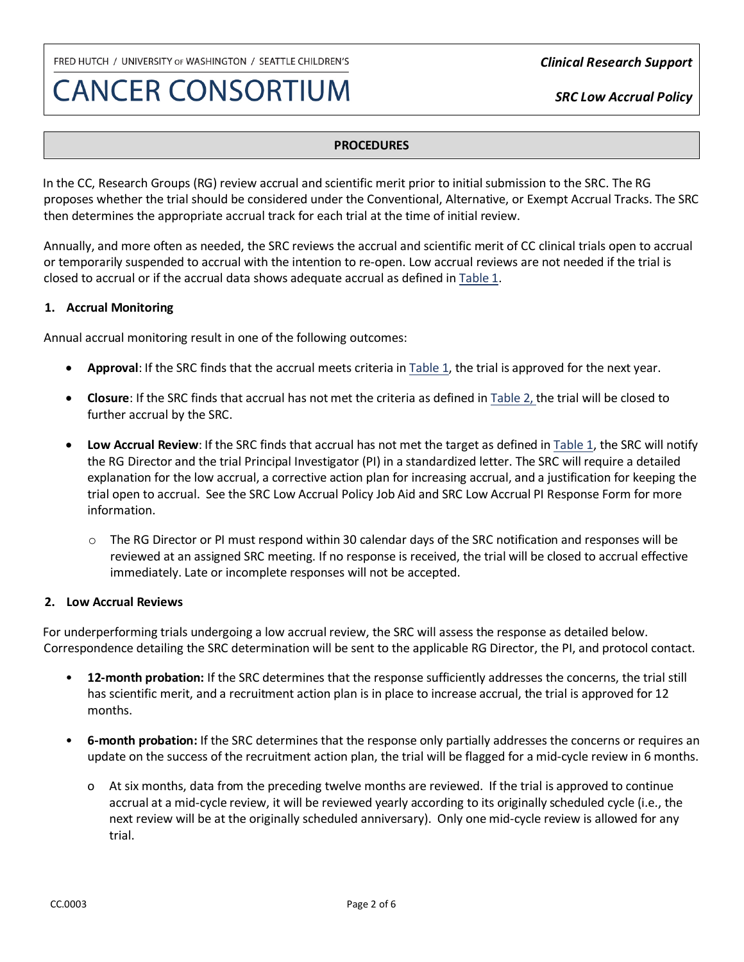## **CANCER CONSORTIUM**

*Clinical Research Support*

*SRC Low Accrual Policy* 

## **PROCEDURES**

In the CC, Research Groups (RG) review accrual and scientific merit prior to initial submission to the SRC. The RG proposes whether the trial should be considered under the Conventional, Alternative, or Exempt Accrual Tracks. The SRC then determines the appropriate accrual track for each trial at the time of initial review.

Annually, and more often as needed, the SRC reviews the accrual and scientific merit of CC clinical trials open to accrual or temporarily suspended to accrual with the intention to re-open. Low accrual reviews are not needed if the trial is closed to accrual or if the accrual data shows adequate accrual as defined i[n Table 1.](#page-0-0)

## **1. Accrual Monitoring**

Annual accrual monitoring result in one of the following outcomes:

- **Approval**: If the SRC finds that the accrual meets criteria in [Table 1,](#page-0-0) the trial is approved for the next year.
- **Closure**: If the SRC finds that accrual has not met the criteria as defined in [Table 2,](#page-0-1) the trial will be closed to further accrual by the SRC.
- **Low Accrual Review**: If the SRC finds that accrual has not met the target as defined in [Table 1,](#page-0-0) the SRC will notify the RG Director and the trial Principal Investigator (PI) in a standardized letter. The SRC will require a detailed explanation for the low accrual, a corrective action plan for increasing accrual, and a justification for keeping the trial open to accrual. See the SRC Low Accrual Policy Job Aid and SRC Low Accrual PI Response Form for more information.
	- o The RG Director or PI must respond within 30 calendar days of the SRC notification and responses will be reviewed at an assigned SRC meeting. If no response is received, the trial will be closed to accrual effective immediately. Late or incomplete responses will not be accepted.

## **2. Low Accrual Reviews**

For underperforming trials undergoing a low accrual review, the SRC will assess the response as detailed below. Correspondence detailing the SRC determination will be sent to the applicable RG Director, the PI, and protocol contact.

- **12-month probation:** If the SRC determines that the response sufficiently addresses the concerns, the trial still has scientific merit, and a recruitment action plan is in place to increase accrual, the trial is approved for 12 months.
- **6-month probation:** If the SRC determines that the response only partially addresses the concerns or requires an update on the success of the recruitment action plan, the trial will be flagged for a mid-cycle review in 6 months.
	- o At six months, data from the preceding twelve months are reviewed. If the trial is approved to continue accrual at a mid-cycle review, it will be reviewed yearly according to its originally scheduled cycle (i.e., the next review will be at the originally scheduled anniversary). Only one mid-cycle review is allowed for any trial.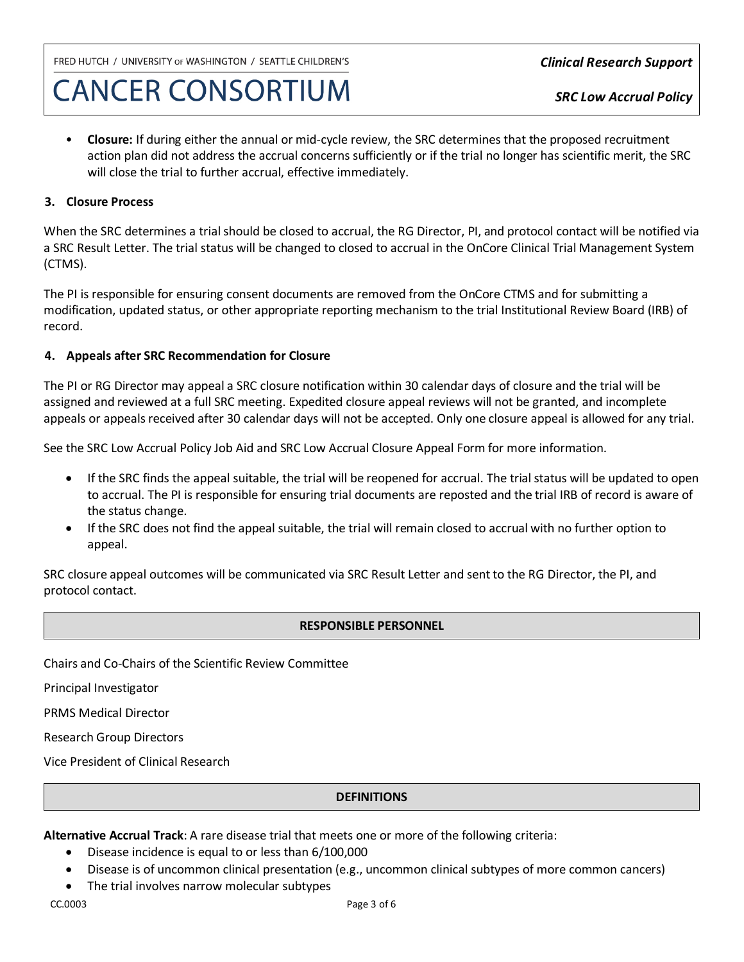# **CANCER CONSORTIUM**

• **Closure:** If during either the annual or mid-cycle review, the SRC determines that the proposed recruitment action plan did not address the accrual concerns sufficiently or if the trial no longer has scientific merit, the SRC will close the trial to further accrual, effective immediately.

### **3. Closure Process**

When the SRC determines a trial should be closed to accrual, the RG Director, PI, and protocol contact will be notified via a SRC Result Letter. The trial status will be changed to closed to accrual in the OnCore Clinical Trial Management System (CTMS).

The PI is responsible for ensuring consent documents are removed from the OnCore CTMS and for submitting a modification, updated status, or other appropriate reporting mechanism to the trial Institutional Review Board (IRB) of record.

### **4. Appeals after SRC Recommendation for Closure**

The PI or RG Director may appeal a SRC closure notification within 30 calendar days of closure and the trial will be assigned and reviewed at a full SRC meeting. Expedited closure appeal reviews will not be granted, and incomplete appeals or appeals received after 30 calendar days will not be accepted. Only one closure appeal is allowed for any trial.

See the SRC Low Accrual Policy Job Aid and SRC Low Accrual Closure Appeal Form for more information.

- If the SRC finds the appeal suitable, the trial will be reopened for accrual. The trial status will be updated to open to accrual. The PI is responsible for ensuring trial documents are reposted and the trial IRB of record is aware of the status change.
- If the SRC does not find the appeal suitable, the trial will remain closed to accrual with no further option to appeal.

SRC closure appeal outcomes will be communicated via SRC Result Letter and sent to the RG Director, the PI, and protocol contact.

#### **RESPONSIBLE PERSONNEL**

Chairs and Co-Chairs of the Scientific Review Committee

Principal Investigator

PRMS Medical Director

Research Group Directors

Vice President of Clinical Research

#### **DEFINITIONS**

**Alternative Accrual Track**: A rare disease trial that meets one or more of the following criteria:

- Disease incidence is equal to or less than 6/100,000
- Disease is of uncommon clinical presentation (e.g., uncommon clinical subtypes of more common cancers)
- The trial involves narrow molecular subtypes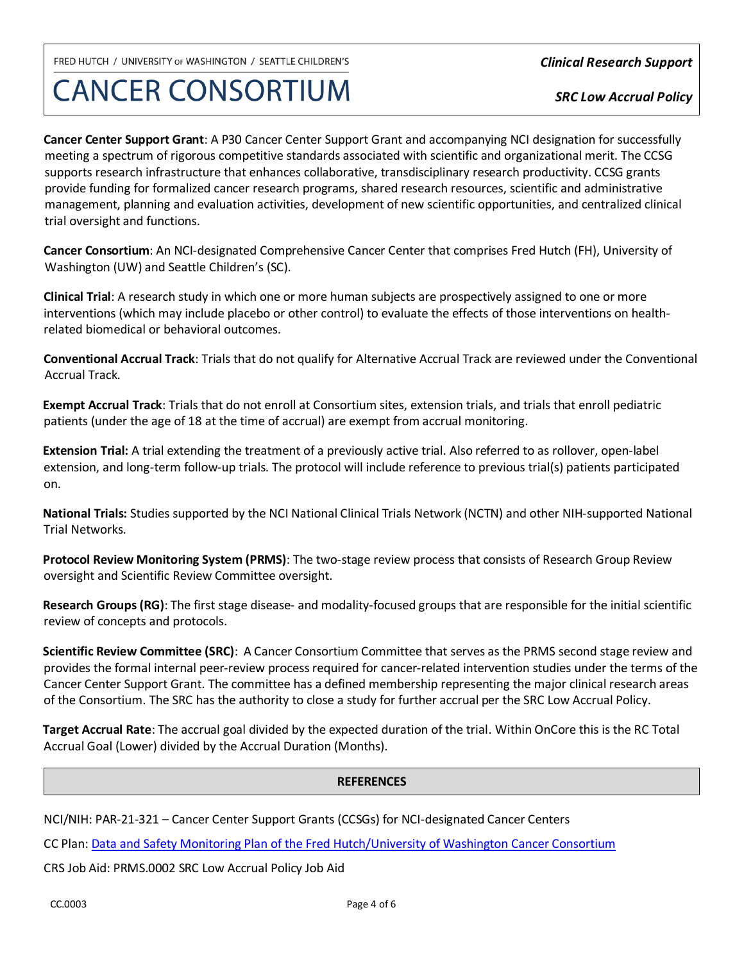**CANCER CONSORTIUM** 

*Clinical Research Support*

*SRC Low Accrual Policy* 

**Cancer Center Support Grant**: A P30 Cancer Center Support Grant and accompanying NCI designation for successfully meeting a spectrum of rigorous competitive standards associated with scientific and organizational merit. The CCSG supports research infrastructure that enhances collaborative, transdisciplinary research productivity. CCSG grants provide funding for formalized cancer research programs, shared research resources, scientific and administrative management, planning and evaluation activities, development of new scientific opportunities, and centralized clinical trial oversight and functions.

**Cancer Consortium**: An NCI-designated Comprehensive Cancer Center that comprises Fred Hutch (FH), University of Washington (UW) and Seattle Children's (SC).

**Clinical Trial**: A research study in which one or more human subjects are prospectively assigned to one or more interventions (which may include placebo or other control) to evaluate the effects of those interventions on healthrelated biomedical or behavioral outcomes.

**Conventional Accrual Track**: Trials that do not qualify for Alternative Accrual Track are reviewed under the Conventional Accrual Track.

**Exempt Accrual Track**: Trials that do not enroll at Consortium sites, extension trials, and trials that enroll pediatric patients (under the age of 18 at the time of accrual) are exempt from accrual monitoring.

**Extension Trial:** A trial extending the treatment of a previously active trial. Also referred to as rollover, open-label extension, and long-term follow-up trials. The protocol will include reference to previous trial(s) patients participated on.

**National Trials:** Studies supported by the NCI National Clinical Trials Network (NCTN) and other NIH-supported National Trial Networks.

**Protocol Review Monitoring System (PRMS)**: The two-stage review process that consists of Research Group Review oversight and Scientific Review Committee oversight.

**Research Groups (RG)**: The first stage disease- and modality-focused groups that are responsible for the initial scientific review of concepts and protocols.

**Scientific Review Committee (SRC)**: A Cancer Consortium Committee that serves as the PRMS second stage review and provides the formal internal peer-review process required for cancer-related intervention studies under the terms of the Cancer Center Support Grant. The committee has a defined membership representing the major clinical research areas of the Consortium. The SRC has the authority to close a study for further accrual per the SRC Low Accrual Policy.

**Target Accrual Rate**: The accrual goal divided by the expected duration of the trial. Within OnCore this is the RC Total Accrual Goal (Lower) divided by the Accrual Duration (Months).

## **REFERENCES**

NCI/NIH: PAR-21-321 – Cancer Center Support Grants (CCSGs) for NCI-designated Cancer Centers

CC Plan: [Data and Safety Monitoring Plan of the Fred Hutch/University of Washington Cancer Consortium](https://www.cancerconsortium.org/content/dam/consortium/Resource-Documents/Data-Safety-Monitoring/Consortium%20DSMP_2019_FINAL.pdf)

CRS Job Aid: PRMS.0002 SRC Low Accrual Policy Job Aid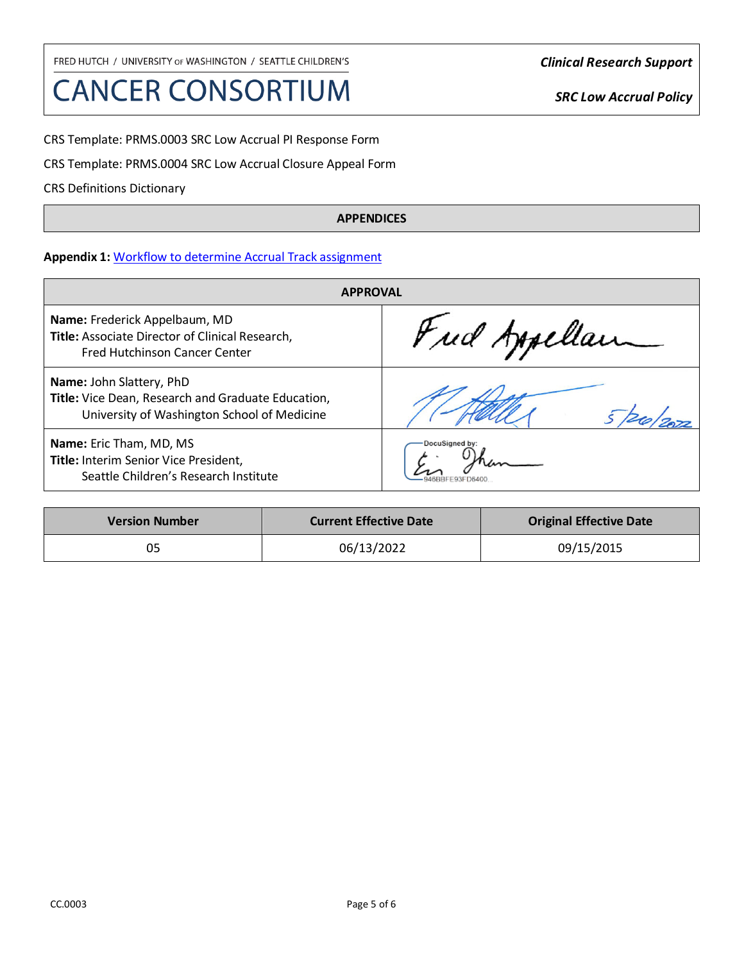# **CANCER CONSORTIUM**

*Clinical Research Support*

*SRC Low Accrual Policy* 

CRS Template: PRMS.0003 SRC Low Accrual PI Response Form

CRS Template: PRMS.0004 SRC Low Accrual Closure Appeal Form

CRS Definitions Dictionary

### **APPENDICES**

## **Appendix 1:** [Workflow to determine Accrual Track assignment](#page-5-0)

| <b>APPROVAL</b>                                                                                                               |                |  |
|-------------------------------------------------------------------------------------------------------------------------------|----------------|--|
| Name: Frederick Appelbaum, MD<br>Title: Associate Director of Clinical Research,<br><b>Fred Hutchinson Cancer Center</b>      | Fud Appellan   |  |
| Name: John Slattery, PhD<br>Title: Vice Dean, Research and Graduate Education,<br>University of Washington School of Medicine |                |  |
| <b>Name:</b> Eric Tham, MD, MS<br>Title: Interim Senior Vice President,<br>Seattle Children's Research Institute              | DocuSigned by: |  |

| <b>Version Number</b> | <b>Current Effective Date</b> | <b>Original Effective Date</b> |
|-----------------------|-------------------------------|--------------------------------|
| 05                    | 06/13/2022                    | 09/15/2015                     |